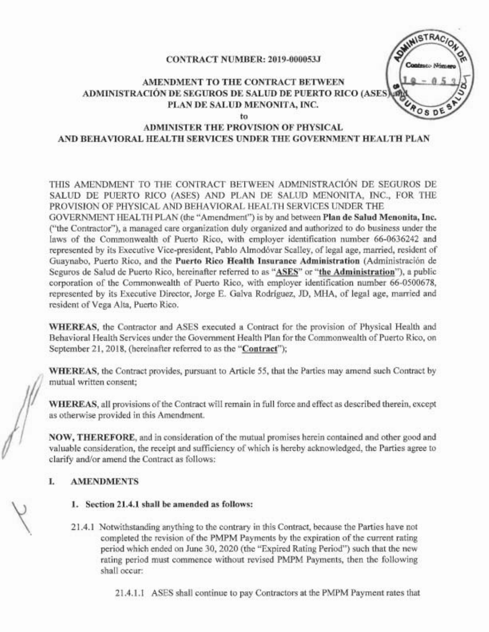### CONTRACT NUMBER: 2019-000053J

## AMENDMENT TO THE CONTRACT BETWEEN ADMINISTRACIÓN DE SEGUROS DE SALUD DE PUERTO RICO (ASES),........................ PLAN DE SALUD MENONITA, INC.



to

### ADMINISTER THE PROVISION OF PHYSICAL AND BEHAVIORAL HEALTH SERVICES UNDER THE GOVERNMENT HEALTH PLAN

THIS AMENDMENT TO THE CONTRACT BETWEEN ADMINISTRACIÓN DE SEGUROS DE SALUD DE PUERTO RICO (ASES) AND PLAN DE SALUD MENONITA, INC., FOR THE PROVISION OF PHYSICAL AND BEHAVIORAL HEALTH SERVICES UNDER THE

GOVERNMENT HEALTH PLAN (the "Amendment") is by and between Plan de SaIud Menonita, Inc. ("the Contractor"), a managed care organization duly organized and authorized to do business under the laws of the Commonwealth of Puerto Rico, with employer identification number 66-0636242 and represented by its Executive Vice-president, Pablo Almodóvar Scalley, of legal age, married, resident of Guaynabo, Puerto Rico, and the Puerto Rico Health Insurance Administration (Administracion de Seguros de Salud de Puerto Rico, hereinafter referred to as "ASES" or "the Administration"), a public corporation of the Commonwealth of Puerto Rico, with employer identification number 66-0500678, represented by its Executive Director, Jorge E. Galva Rodriguez, 10, MHA, of legal age, married and resident of Vega Alta, Puerto Rico.

WHEREAS, the Contractor and ASES executed a Contract for the provision of Physical Health and Behavioral Health Services under the Government Health Plan for the Commonwealth of Puerto Rico, on September 21, 2018, (hereinafter referred to as the "Contract");

WHEREAS, the Contract provides, pursuant to Article 55, that the Parties may amend such Contract by mutual written consent;

WHEREAS, all provisions of the Contract will remain in full force and effect as described therein, except as otherwise provided in this Amendment.

NOW, THEREFORE, and in consideration of the mutual promises herein contained and other good and valuable consideration, the receipt and sufficiency of which is hereby acknowledged, the Parties agree to clarify and/or amend the Contract as follows:

## I. AMENDMENTS

- 1. Section 21.4.1 shall be amended as follows:
- 21.4.1 Notwithstanding anything to the contrary in this Contract, because the Parties have not completed the revision of the PMPM Payments by the expiration of the current rating period which ended on June 30, 2020 (the "Expired Rating Period") such that the new rating period must commence without revised PMPM Payments, then the following shall occur:

21.4.1.1 ASES shall continue to pay Contractors at the PMPM Payment rates that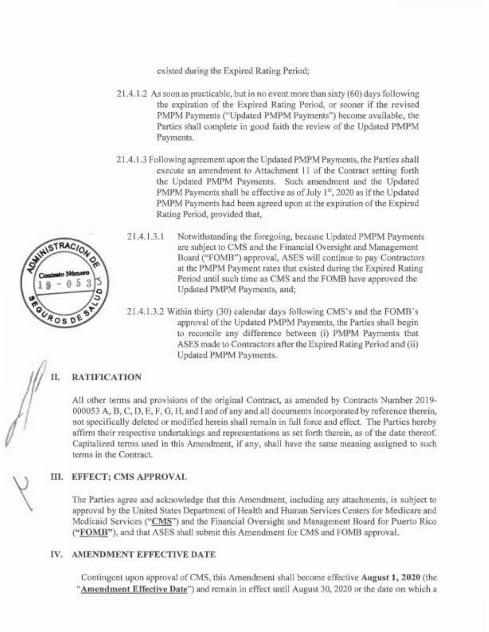existed during the Expired Rating Period;

- 21.4.1.2 As soon as practicable, but in no event more than sixty (60) days following the expiration of the Expired Rating Period, or sooner if the revised PMPM Payments ("Updated PMPM Payments") become available, the Parties shall complete in good faith the review of the Updated PMPM Payments.
- 21.4.1.3 Following agreement upon the UpdatedPMPMPayments, the Parties shall execute an amendment to Attachment 11 of the Contract setting forth the Updated PMPM Payments. Such amendment and the Updated PMPM Payments shall be effective as of July  $1<sup>st</sup>$ , 2020 as if the Updated PMPM Payments had been agreed upon at the expiration of the Expired Rating Period, provided that,
- SWINISTRACION 9 Posp
- 21.4.1.3.1 Notwithstanding the foregoing, because Updated PMPM Payments are subject to CMS and the Financial Oversight and Management Board ("FOMB") approval, ASES will continue to pay Contractors at the PMPM Payment rates that existed during the Expired Rating Period until such time as CMS and the FOMB have approved the Updated PMPM Payments, and;
- 21.4.1.3.2 Within thirty (30) calendar days following CMS's and the FOMB's approval of the Updated PMPM Payments, the Parties shall begin to reconcile any difference between (i) PMPM Payments that ASES made to Contractors after the Expired Rating Period and (ii) Updated PMPM Payments.

# II. RATIFICATION

All other terms and provisions of the original Contract, as amended by Contracts Number 2019-000053 A, B, C, D, E, F, G, H, and I and of any and all documents incorporated by reference therein, not specifically deleted or modified herein shall remain in full force and effect. The Parties hereby affirm their respective undertakings and representations as set forth therein, as of the date thereof. Capitalized tenns used in this Amendment, if any, shall have the same meaning assigned to such terms in the Contract.

## III. EFFECT; CMS APPROVAL

The Parties agree and acknowledge that this Amendment, including any attachments, is subject to approval by the United States Department of Health and Human Services Centers for Medicare and Medicaid Services ("CMS") and the Financial Oversight and Management Board for Puerto Rico ("FOMB"), and that ASES shall submit this Amendment for CMS and FOMB approval.

## IV. AMENDMENT EFFECTIVE DATE

Contingent upon approval of CMS, this Amendment shall become effective August **1,** 2020 (the "Amendment Effective Date") and remain in effect until August 30, 2020 or the date on which a